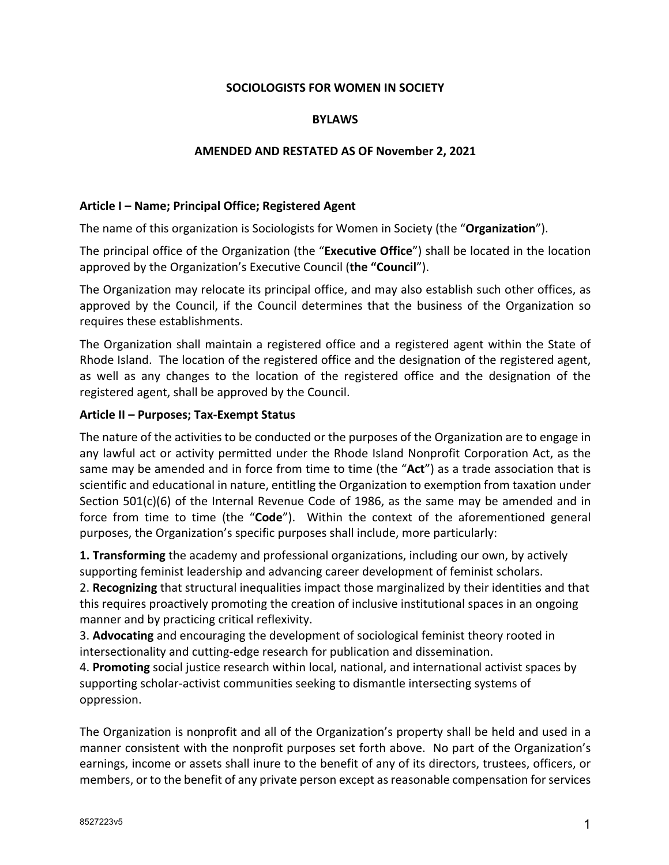### **SOCIOLOGISTS FOR WOMEN IN SOCIETY**

### **BYLAWS**

#### **AMENDED AND RESTATED AS OF November 2, 2021**

#### **Article I – Name; Principal Office; Registered Agent**

The name of this organization is Sociologists for Women in Society (the "**Organization**").

The principal office of the Organization (the "**Executive Office**") shall be located in the location approved by the Organization's Executive Council (**the "Council**").

The Organization may relocate its principal office, and may also establish such other offices, as approved by the Council, if the Council determines that the business of the Organization so requires these establishments.

The Organization shall maintain a registered office and a registered agent within the State of Rhode Island. The location of the registered office and the designation of the registered agent, as well as any changes to the location of the registered office and the designation of the registered agent, shall be approved by the Council.

#### **Article II – Purposes; Tax-Exempt Status**

The nature of the activities to be conducted or the purposes of the Organization are to engage in any lawful act or activity permitted under the Rhode Island Nonprofit Corporation Act, as the same may be amended and in force from time to time (the "**Act**") as a trade association that is scientific and educational in nature, entitling the Organization to exemption from taxation under Section 501(c)(6) of the Internal Revenue Code of 1986, as the same may be amended and in force from time to time (the "**Code**"). Within the context of the aforementioned general purposes, the Organization's specific purposes shall include, more particularly:

**1. Transforming** the academy and professional organizations, including our own, by actively supporting feminist leadership and advancing career development of feminist scholars.

2. **Recognizing** that structural inequalities impact those marginalized by their identities and that this requires proactively promoting the creation of inclusive institutional spaces in an ongoing manner and by practicing critical reflexivity.

3. **Advocating** and encouraging the development of sociological feminist theory rooted in intersectionality and cutting-edge research for publication and dissemination.

4. **Promoting** social justice research within local, national, and international activist spaces by supporting scholar-activist communities seeking to dismantle intersecting systems of oppression.

The Organization is nonprofit and all of the Organization's property shall be held and used in a manner consistent with the nonprofit purposes set forth above. No part of the Organization's earnings, income or assets shall inure to the benefit of any of its directors, trustees, officers, or members, or to the benefit of any private person except as reasonable compensation for services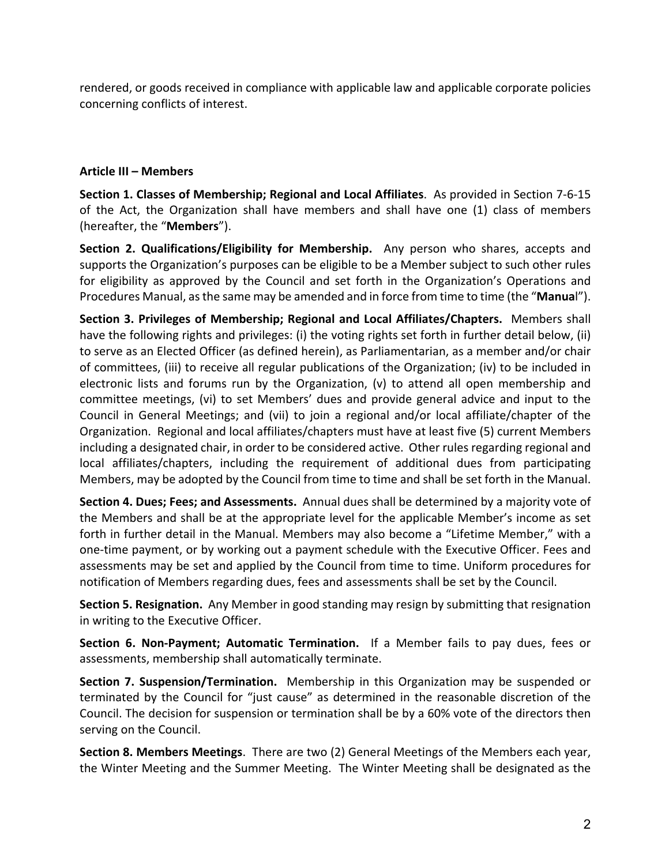rendered, or goods received in compliance with applicable law and applicable corporate policies concerning conflicts of interest.

### **Article III – Members**

**Section 1. Classes of Membership; Regional and Local Affiliates**. As provided in Section 7-6-15 of the Act, the Organization shall have members and shall have one (1) class of members (hereafter, the "**Members**").

**Section 2. Qualifications/Eligibility for Membership.** Any person who shares, accepts and supports the Organization's purposes can be eligible to be a Member subject to such other rules for eligibility as approved by the Council and set forth in the Organization's Operations and Procedures Manual, as the same may be amended and in force from time to time (the "**Manua**l").

**Section 3. Privileges of Membership; Regional and Local Affiliates/Chapters.** Members shall have the following rights and privileges: (i) the voting rights set forth in further detail below, (ii) to serve as an Elected Officer (as defined herein), as Parliamentarian, as a member and/or chair of committees, (iii) to receive all regular publications of the Organization; (iv) to be included in electronic lists and forums run by the Organization, (v) to attend all open membership and committee meetings, (vi) to set Members' dues and provide general advice and input to the Council in General Meetings; and (vii) to join a regional and/or local affiliate/chapter of the Organization. Regional and local affiliates/chapters must have at least five (5) current Members including a designated chair, in order to be considered active. Other rules regarding regional and local affiliates/chapters, including the requirement of additional dues from participating Members, may be adopted by the Council from time to time and shall be set forth in the Manual.

**Section 4. Dues; Fees; and Assessments.** Annual dues shall be determined by a majority vote of the Members and shall be at the appropriate level for the applicable Member's income as set forth in further detail in the Manual. Members may also become a "Lifetime Member," with a one-time payment, or by working out a payment schedule with the Executive Officer. Fees and assessments may be set and applied by the Council from time to time. Uniform procedures for notification of Members regarding dues, fees and assessments shall be set by the Council.

**Section 5. Resignation.** Any Member in good standing may resign by submitting that resignation in writing to the Executive Officer.

**Section 6. Non-Payment; Automatic Termination.** If a Member fails to pay dues, fees or assessments, membership shall automatically terminate.

**Section 7. Suspension/Termination.** Membership in this Organization may be suspended or terminated by the Council for "just cause" as determined in the reasonable discretion of the Council. The decision for suspension or termination shall be by a 60% vote of the directors then serving on the Council.

**Section 8. Members Meetings**. There are two (2) General Meetings of the Members each year, the Winter Meeting and the Summer Meeting. The Winter Meeting shall be designated as the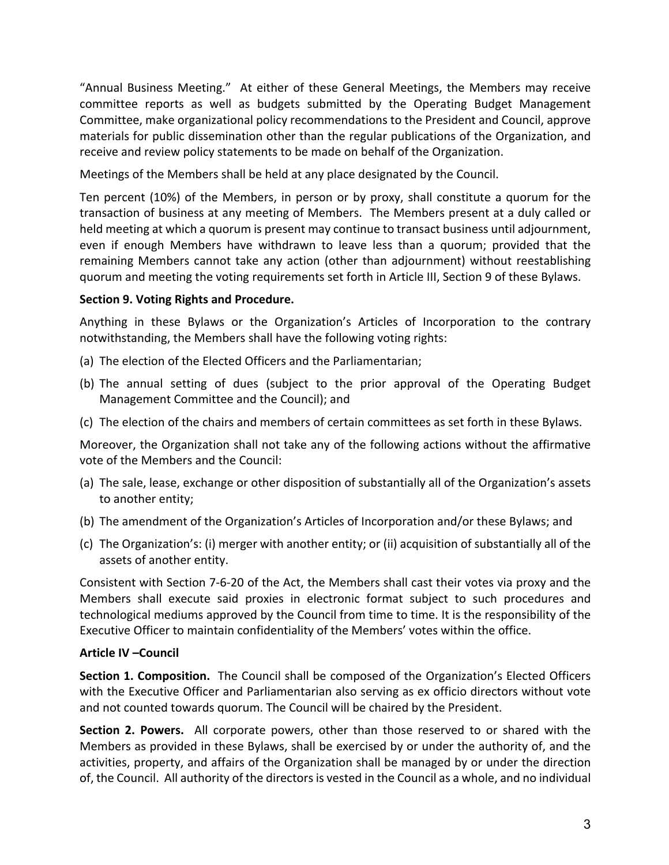"Annual Business Meeting." At either of these General Meetings, the Members may receive committee reports as well as budgets submitted by the Operating Budget Management Committee, make organizational policy recommendations to the President and Council, approve materials for public dissemination other than the regular publications of the Organization, and receive and review policy statements to be made on behalf of the Organization.

Meetings of the Members shall be held at any place designated by the Council.

Ten percent (10%) of the Members, in person or by proxy, shall constitute a quorum for the transaction of business at any meeting of Members. The Members present at a duly called or held meeting at which a quorum is present may continue to transact business until adjournment, even if enough Members have withdrawn to leave less than a quorum; provided that the remaining Members cannot take any action (other than adjournment) without reestablishing quorum and meeting the voting requirements set forth in Article III, Section 9 of these Bylaws.

## **Section 9. Voting Rights and Procedure.**

Anything in these Bylaws or the Organization's Articles of Incorporation to the contrary notwithstanding, the Members shall have the following voting rights:

- (a) The election of the Elected Officers and the Parliamentarian;
- (b) The annual setting of dues (subject to the prior approval of the Operating Budget Management Committee and the Council); and
- (c) The election of the chairs and members of certain committees as set forth in these Bylaws.

Moreover, the Organization shall not take any of the following actions without the affirmative vote of the Members and the Council:

- (a) The sale, lease, exchange or other disposition of substantially all of the Organization's assets to another entity;
- (b) The amendment of the Organization's Articles of Incorporation and/or these Bylaws; and
- (c) The Organization's: (i) merger with another entity; or (ii) acquisition of substantially all of the assets of another entity.

Consistent with Section 7-6-20 of the Act, the Members shall cast their votes via proxy and the Members shall execute said proxies in electronic format subject to such procedures and technological mediums approved by the Council from time to time. It is the responsibility of the Executive Officer to maintain confidentiality of the Members' votes within the office.

# **Article IV –Council**

**Section 1. Composition.** The Council shall be composed of the Organization's Elected Officers with the Executive Officer and Parliamentarian also serving as ex officio directors without vote and not counted towards quorum. The Council will be chaired by the President.

**Section 2. Powers.** All corporate powers, other than those reserved to or shared with the Members as provided in these Bylaws, shall be exercised by or under the authority of, and the activities, property, and affairs of the Organization shall be managed by or under the direction of, the Council. All authority of the directors is vested in the Council as a whole, and no individual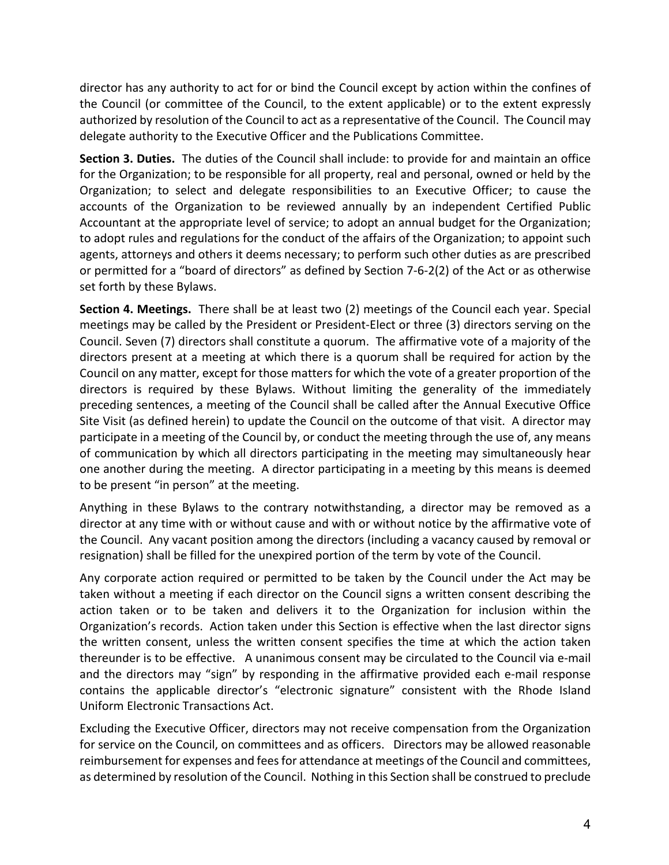director has any authority to act for or bind the Council except by action within the confines of the Council (or committee of the Council, to the extent applicable) or to the extent expressly authorized by resolution of the Council to act as a representative of the Council. The Council may delegate authority to the Executive Officer and the Publications Committee.

**Section 3. Duties.** The duties of the Council shall include: to provide for and maintain an office for the Organization; to be responsible for all property, real and personal, owned or held by the Organization; to select and delegate responsibilities to an Executive Officer; to cause the accounts of the Organization to be reviewed annually by an independent Certified Public Accountant at the appropriate level of service; to adopt an annual budget for the Organization; to adopt rules and regulations for the conduct of the affairs of the Organization; to appoint such agents, attorneys and others it deems necessary; to perform such other duties as are prescribed or permitted for a "board of directors" as defined by Section 7-6-2(2) of the Act or as otherwise set forth by these Bylaws.

**Section 4. Meetings.** There shall be at least two (2) meetings of the Council each year. Special meetings may be called by the President or President-Elect or three (3) directors serving on the Council. Seven (7) directors shall constitute a quorum. The affirmative vote of a majority of the directors present at a meeting at which there is a quorum shall be required for action by the Council on any matter, except for those matters for which the vote of a greater proportion of the directors is required by these Bylaws. Without limiting the generality of the immediately preceding sentences, a meeting of the Council shall be called after the Annual Executive Office Site Visit (as defined herein) to update the Council on the outcome of that visit. A director may participate in a meeting of the Council by, or conduct the meeting through the use of, any means of communication by which all directors participating in the meeting may simultaneously hear one another during the meeting. A director participating in a meeting by this means is deemed to be present "in person" at the meeting.

Anything in these Bylaws to the contrary notwithstanding, a director may be removed as a director at any time with or without cause and with or without notice by the affirmative vote of the Council. Any vacant position among the directors (including a vacancy caused by removal or resignation) shall be filled for the unexpired portion of the term by vote of the Council.

Any corporate action required or permitted to be taken by the Council under the Act may be taken without a meeting if each director on the Council signs a written consent describing the action taken or to be taken and delivers it to the Organization for inclusion within the Organization's records. Action taken under this Section is effective when the last director signs the written consent, unless the written consent specifies the time at which the action taken thereunder is to be effective. A unanimous consent may be circulated to the Council via e-mail and the directors may "sign" by responding in the affirmative provided each e-mail response contains the applicable director's "electronic signature" consistent with the Rhode Island Uniform Electronic Transactions Act.

Excluding the Executive Officer, directors may not receive compensation from the Organization for service on the Council, on committees and as officers. Directors may be allowed reasonable reimbursement for expenses and fees for attendance at meetings of the Council and committees, as determined by resolution of the Council. Nothing in this Section shall be construed to preclude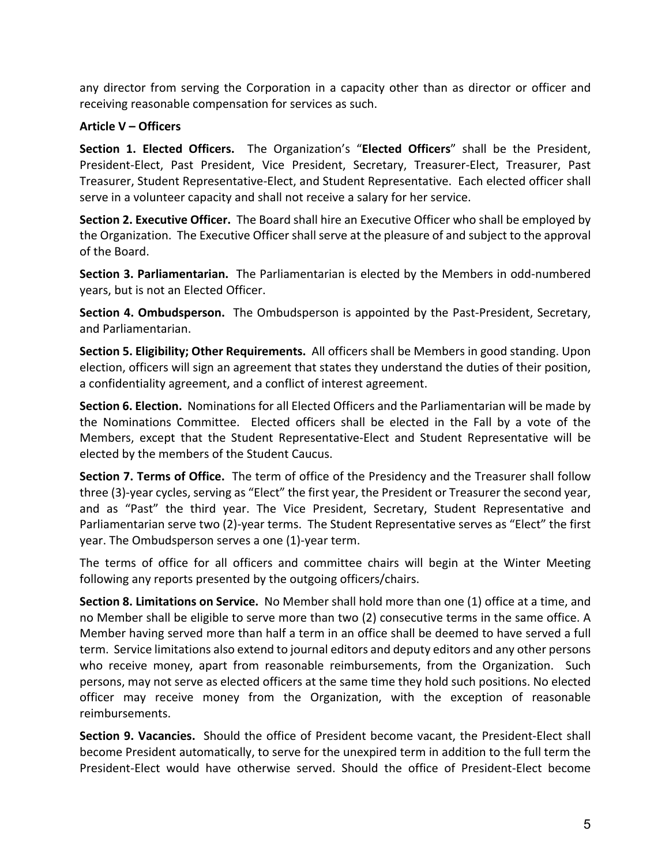any director from serving the Corporation in a capacity other than as director or officer and receiving reasonable compensation for services as such.

### **Article V – Officers**

**Section 1. Elected Officers.** The Organization's "**Elected Officers**" shall be the President, President-Elect, Past President, Vice President, Secretary, Treasurer-Elect, Treasurer, Past Treasurer, Student Representative-Elect, and Student Representative. Each elected officer shall serve in a volunteer capacity and shall not receive a salary for her service.

**Section 2. Executive Officer.** The Board shall hire an Executive Officer who shall be employed by the Organization. The Executive Officer shall serve at the pleasure of and subject to the approval of the Board.

**Section 3. Parliamentarian.** The Parliamentarian is elected by the Members in odd-numbered years, but is not an Elected Officer.

**Section 4. Ombudsperson.** The Ombudsperson is appointed by the Past-President, Secretary, and Parliamentarian.

**Section 5. Eligibility; Other Requirements.** All officers shall be Members in good standing. Upon election, officers will sign an agreement that states they understand the duties of their position, a confidentiality agreement, and a conflict of interest agreement.

**Section 6. Election.** Nominations for all Elected Officers and the Parliamentarian will be made by the Nominations Committee. Elected officers shall be elected in the Fall by a vote of the Members, except that the Student Representative-Elect and Student Representative will be elected by the members of the Student Caucus.

**Section 7. Terms of Office.** The term of office of the Presidency and the Treasurer shall follow three (3)-year cycles, serving as "Elect" the first year, the President or Treasurer the second year, and as "Past" the third year. The Vice President, Secretary, Student Representative and Parliamentarian serve two (2)-year terms. The Student Representative serves as "Elect" the first year. The Ombudsperson serves a one (1)-year term.

The terms of office for all officers and committee chairs will begin at the Winter Meeting following any reports presented by the outgoing officers/chairs.

**Section 8. Limitations on Service.** No Member shall hold more than one (1) office at a time, and no Member shall be eligible to serve more than two (2) consecutive terms in the same office. A Member having served more than half a term in an office shall be deemed to have served a full term. Service limitations also extend to journal editors and deputy editors and any other persons who receive money, apart from reasonable reimbursements, from the Organization. Such persons, may not serve as elected officers at the same time they hold such positions. No elected officer may receive money from the Organization, with the exception of reasonable reimbursements.

**Section 9. Vacancies.** Should the office of President become vacant, the President-Elect shall become President automatically, to serve for the unexpired term in addition to the full term the President-Elect would have otherwise served. Should the office of President-Elect become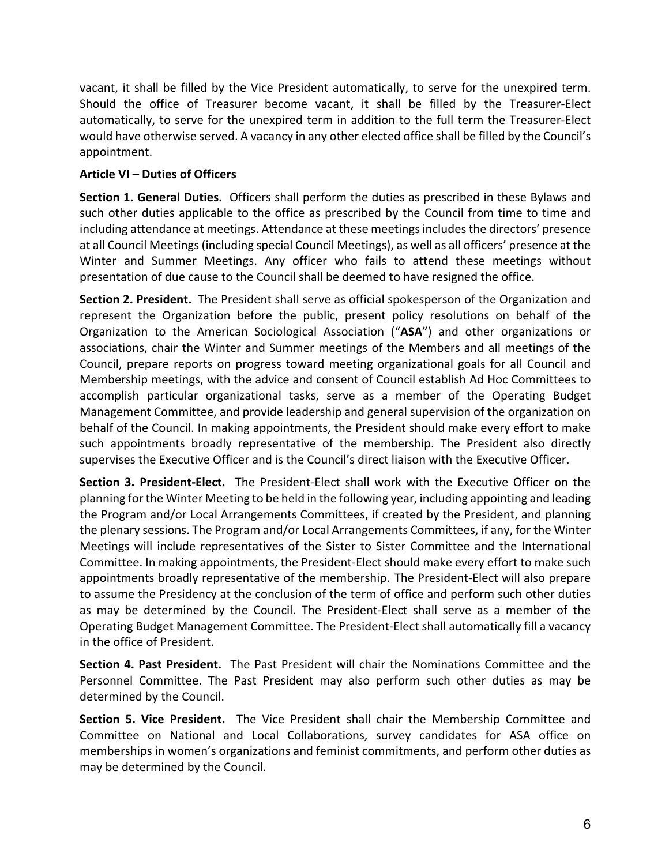vacant, it shall be filled by the Vice President automatically, to serve for the unexpired term. Should the office of Treasurer become vacant, it shall be filled by the Treasurer-Elect automatically, to serve for the unexpired term in addition to the full term the Treasurer-Elect would have otherwise served. A vacancy in any other elected office shall be filled by the Council's appointment.

## **Article VI – Duties of Officers**

**Section 1. General Duties.** Officers shall perform the duties as prescribed in these Bylaws and such other duties applicable to the office as prescribed by the Council from time to time and including attendance at meetings. Attendance at these meetings includes the directors' presence at all Council Meetings (including special Council Meetings), as well as all officers' presence at the Winter and Summer Meetings. Any officer who fails to attend these meetings without presentation of due cause to the Council shall be deemed to have resigned the office.

**Section 2. President.** The President shall serve as official spokesperson of the Organization and represent the Organization before the public, present policy resolutions on behalf of the Organization to the American Sociological Association ("**ASA**") and other organizations or associations, chair the Winter and Summer meetings of the Members and all meetings of the Council, prepare reports on progress toward meeting organizational goals for all Council and Membership meetings, with the advice and consent of Council establish Ad Hoc Committees to accomplish particular organizational tasks, serve as a member of the Operating Budget Management Committee, and provide leadership and general supervision of the organization on behalf of the Council. In making appointments, the President should make every effort to make such appointments broadly representative of the membership. The President also directly supervises the Executive Officer and is the Council's direct liaison with the Executive Officer.

**Section 3. President-Elect.** The President-Elect shall work with the Executive Officer on the planning for the Winter Meeting to be held in the following year, including appointing and leading the Program and/or Local Arrangements Committees, if created by the President, and planning the plenary sessions. The Program and/or Local Arrangements Committees, if any, for the Winter Meetings will include representatives of the Sister to Sister Committee and the International Committee. In making appointments, the President-Elect should make every effort to make such appointments broadly representative of the membership. The President-Elect will also prepare to assume the Presidency at the conclusion of the term of office and perform such other duties as may be determined by the Council. The President-Elect shall serve as a member of the Operating Budget Management Committee. The President-Elect shall automatically fill a vacancy in the office of President.

**Section 4. Past President.** The Past President will chair the Nominations Committee and the Personnel Committee. The Past President may also perform such other duties as may be determined by the Council.

**Section 5. Vice President.** The Vice President shall chair the Membership Committee and Committee on National and Local Collaborations, survey candidates for ASA office on memberships in women's organizations and feminist commitments, and perform other duties as may be determined by the Council.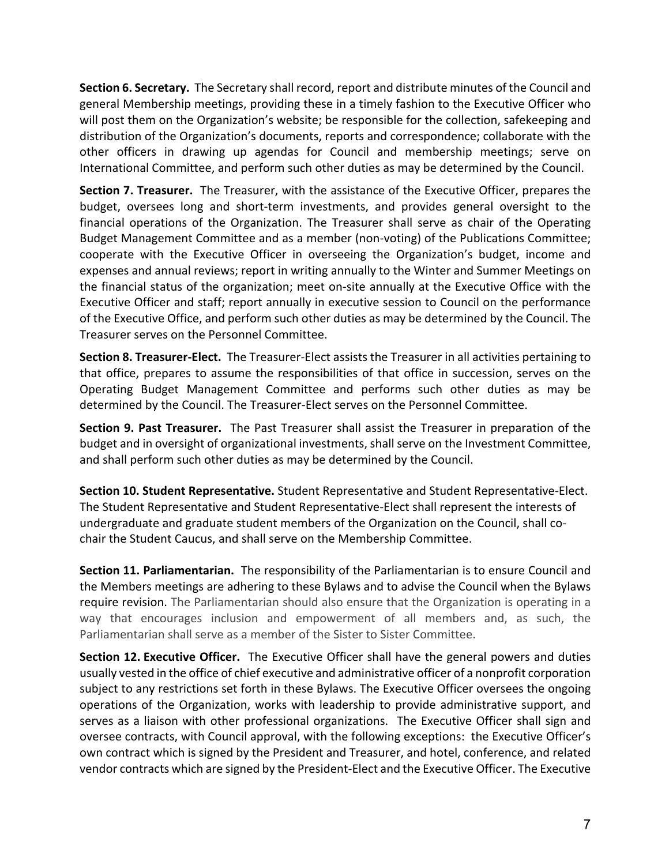**Section 6. Secretary.** The Secretary shall record, report and distribute minutes of the Council and general Membership meetings, providing these in a timely fashion to the Executive Officer who will post them on the Organization's website; be responsible for the collection, safekeeping and distribution of the Organization's documents, reports and correspondence; collaborate with the other officers in drawing up agendas for Council and membership meetings; serve on International Committee, and perform such other duties as may be determined by the Council.

**Section 7. Treasurer.** The Treasurer, with the assistance of the Executive Officer, prepares the budget, oversees long and short-term investments, and provides general oversight to the financial operations of the Organization. The Treasurer shall serve as chair of the Operating Budget Management Committee and as a member (non-voting) of the Publications Committee; cooperate with the Executive Officer in overseeing the Organization's budget, income and expenses and annual reviews; report in writing annually to the Winter and Summer Meetings on the financial status of the organization; meet on-site annually at the Executive Office with the Executive Officer and staff; report annually in executive session to Council on the performance of the Executive Office, and perform such other duties as may be determined by the Council. The Treasurer serves on the Personnel Committee.

**Section 8. Treasurer-Elect.** The Treasurer-Elect assists the Treasurer in all activities pertaining to that office, prepares to assume the responsibilities of that office in succession, serves on the Operating Budget Management Committee and performs such other duties as may be determined by the Council. The Treasurer-Elect serves on the Personnel Committee.

**Section 9. Past Treasurer.** The Past Treasurer shall assist the Treasurer in preparation of the budget and in oversight of organizational investments, shall serve on the Investment Committee, and shall perform such other duties as may be determined by the Council.

**Section 10. Student Representative.** Student Representative and Student Representative-Elect. The Student Representative and Student Representative-Elect shall represent the interests of undergraduate and graduate student members of the Organization on the Council, shall cochair the Student Caucus, and shall serve on the Membership Committee.

**Section 11. Parliamentarian.** The responsibility of the Parliamentarian is to ensure Council and the Members meetings are adhering to these Bylaws and to advise the Council when the Bylaws require revision. The Parliamentarian should also ensure that the Organization is operating in a way that encourages inclusion and empowerment of all members and, as such, the Parliamentarian shall serve as a member of the Sister to Sister Committee.

**Section 12. Executive Officer.** The Executive Officer shall have the general powers and duties usually vested in the office of chief executive and administrative officer of a nonprofit corporation subject to any restrictions set forth in these Bylaws. The Executive Officer oversees the ongoing operations of the Organization, works with leadership to provide administrative support, and serves as a liaison with other professional organizations. The Executive Officer shall sign and oversee contracts, with Council approval, with the following exceptions: the Executive Officer's own contract which is signed by the President and Treasurer, and hotel, conference, and related vendor contracts which are signed by the President-Elect and the Executive Officer. The Executive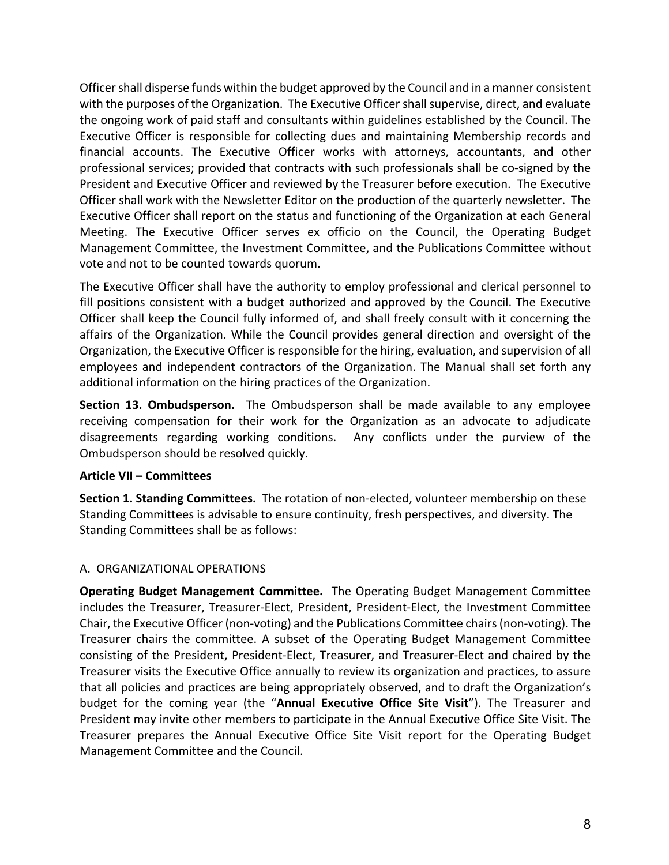Officer shall disperse funds within the budget approved by the Council and in a manner consistent with the purposes of the Organization. The Executive Officer shall supervise, direct, and evaluate the ongoing work of paid staff and consultants within guidelines established by the Council. The Executive Officer is responsible for collecting dues and maintaining Membership records and financial accounts. The Executive Officer works with attorneys, accountants, and other professional services; provided that contracts with such professionals shall be co-signed by the President and Executive Officer and reviewed by the Treasurer before execution. The Executive Officer shall work with the Newsletter Editor on the production of the quarterly newsletter. The Executive Officer shall report on the status and functioning of the Organization at each General Meeting. The Executive Officer serves ex officio on the Council, the Operating Budget Management Committee, the Investment Committee, and the Publications Committee without vote and not to be counted towards quorum.

The Executive Officer shall have the authority to employ professional and clerical personnel to fill positions consistent with a budget authorized and approved by the Council. The Executive Officer shall keep the Council fully informed of, and shall freely consult with it concerning the affairs of the Organization. While the Council provides general direction and oversight of the Organization, the Executive Officer is responsible for the hiring, evaluation, and supervision of all employees and independent contractors of the Organization. The Manual shall set forth any additional information on the hiring practices of the Organization.

**Section 13. Ombudsperson.** The Ombudsperson shall be made available to any employee receiving compensation for their work for the Organization as an advocate to adjudicate disagreements regarding working conditions. Any conflicts under the purview of the Ombudsperson should be resolved quickly.

### **Article VII – Committees**

**Section 1. Standing Committees.** The rotation of non-elected, volunteer membership on these Standing Committees is advisable to ensure continuity, fresh perspectives, and diversity. The Standing Committees shall be as follows:

## A. ORGANIZATIONAL OPERATIONS

**Operating Budget Management Committee.** The Operating Budget Management Committee includes the Treasurer, Treasurer-Elect, President, President-Elect, the Investment Committee Chair, the Executive Officer (non-voting) and the Publications Committee chairs (non-voting). The Treasurer chairs the committee. A subset of the Operating Budget Management Committee consisting of the President, President-Elect, Treasurer, and Treasurer-Elect and chaired by the Treasurer visits the Executive Office annually to review its organization and practices, to assure that all policies and practices are being appropriately observed, and to draft the Organization's budget for the coming year (the "**Annual Executive Office Site Visit**"). The Treasurer and President may invite other members to participate in the Annual Executive Office Site Visit. The Treasurer prepares the Annual Executive Office Site Visit report for the Operating Budget Management Committee and the Council.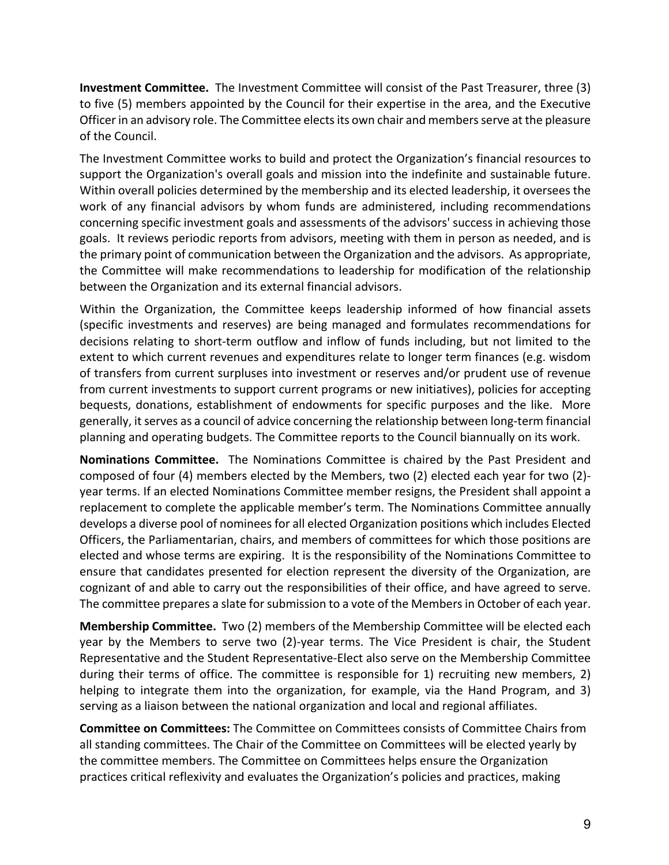**Investment Committee.** The Investment Committee will consist of the Past Treasurer, three (3) to five (5) members appointed by the Council for their expertise in the area, and the Executive Officer in an advisory role. The Committee elects its own chair and members serve at the pleasure of the Council.

The Investment Committee works to build and protect the Organization's financial resources to support the Organization's overall goals and mission into the indefinite and sustainable future. Within overall policies determined by the membership and its elected leadership, it oversees the work of any financial advisors by whom funds are administered, including recommendations concerning specific investment goals and assessments of the advisors' success in achieving those goals. It reviews periodic reports from advisors, meeting with them in person as needed, and is the primary point of communication between the Organization and the advisors. As appropriate, the Committee will make recommendations to leadership for modification of the relationship between the Organization and its external financial advisors.

Within the Organization, the Committee keeps leadership informed of how financial assets (specific investments and reserves) are being managed and formulates recommendations for decisions relating to short-term outflow and inflow of funds including, but not limited to the extent to which current revenues and expenditures relate to longer term finances (e.g. wisdom of transfers from current surpluses into investment or reserves and/or prudent use of revenue from current investments to support current programs or new initiatives), policies for accepting bequests, donations, establishment of endowments for specific purposes and the like. More generally, it serves as a council of advice concerning the relationship between long-term financial planning and operating budgets. The Committee reports to the Council biannually on its work.

**Nominations Committee.** The Nominations Committee is chaired by the Past President and composed of four (4) members elected by the Members, two (2) elected each year for two (2) year terms. If an elected Nominations Committee member resigns, the President shall appoint a replacement to complete the applicable member's term. The Nominations Committee annually develops a diverse pool of nominees for all elected Organization positions which includes Elected Officers, the Parliamentarian, chairs, and members of committees for which those positions are elected and whose terms are expiring. It is the responsibility of the Nominations Committee to ensure that candidates presented for election represent the diversity of the Organization, are cognizant of and able to carry out the responsibilities of their office, and have agreed to serve. The committee prepares a slate for submission to a vote of the Members in October of each year.

**Membership Committee.** Two (2) members of the Membership Committee will be elected each year by the Members to serve two (2)-year terms. The Vice President is chair, the Student Representative and the Student Representative-Elect also serve on the Membership Committee during their terms of office. The committee is responsible for 1) recruiting new members, 2) helping to integrate them into the organization, for example, via the Hand Program, and 3) serving as a liaison between the national organization and local and regional affiliates.

**Committee on Committees:** The Committee on Committees consists of Committee Chairs from all standing committees. The Chair of the Committee on Committees will be elected yearly by the committee members. The Committee on Committees helps ensure the Organization practices critical reflexivity and evaluates the Organization's policies and practices, making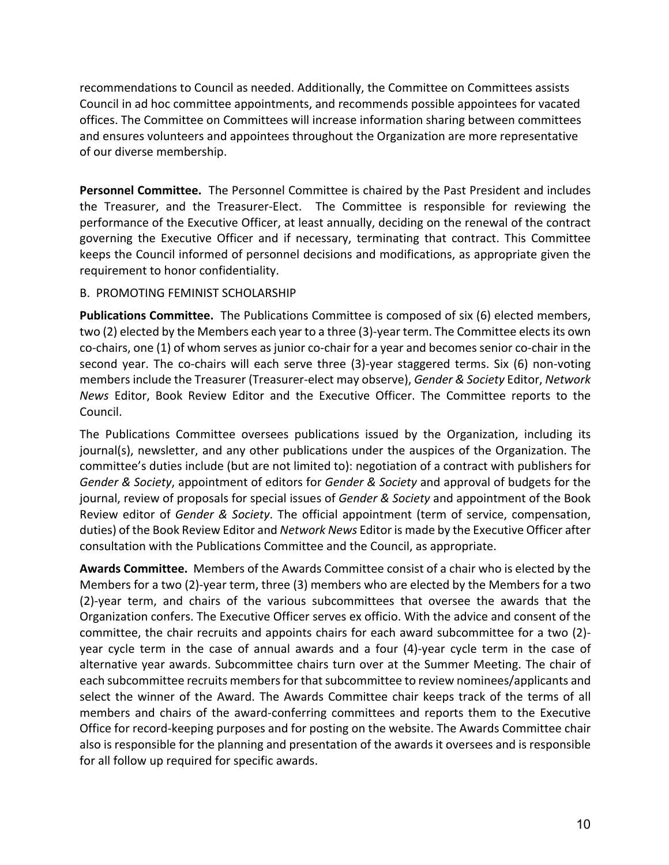recommendations to Council as needed. Additionally, the Committee on Committees assists Council in ad hoc committee appointments, and recommends possible appointees for vacated offices. The Committee on Committees will increase information sharing between committees and ensures volunteers and appointees throughout the Organization are more representative of our diverse membership.

**Personnel Committee.** The Personnel Committee is chaired by the Past President and includes the Treasurer, and the Treasurer-Elect. The Committee is responsible for reviewing the performance of the Executive Officer, at least annually, deciding on the renewal of the contract governing the Executive Officer and if necessary, terminating that contract. This Committee keeps the Council informed of personnel decisions and modifications, as appropriate given the requirement to honor confidentiality.

### B. PROMOTING FEMINIST SCHOLARSHIP

**Publications Committee.** The Publications Committee is composed of six (6) elected members, two (2) elected by the Members each year to a three (3)-year term. The Committee elects its own co-chairs, one (1) of whom serves as junior co-chair for a year and becomes senior co-chair in the second year. The co-chairs will each serve three (3)-year staggered terms. Six (6) non-voting members include the Treasurer (Treasurer-elect may observe), *Gender & Society* Editor, *Network News* Editor, Book Review Editor and the Executive Officer. The Committee reports to the Council.

The Publications Committee oversees publications issued by the Organization, including its journal(s), newsletter, and any other publications under the auspices of the Organization. The committee's duties include (but are not limited to): negotiation of a contract with publishers for *Gender & Society*, appointment of editors for *Gender & Society* and approval of budgets for the journal, review of proposals for special issues of *Gender & Society* and appointment of the Book Review editor of *Gender & Society*. The official appointment (term of service, compensation, duties) of the Book Review Editor and *Network News* Editor is made by the Executive Officer after consultation with the Publications Committee and the Council, as appropriate.

**Awards Committee.** Members of the Awards Committee consist of a chair who is elected by the Members for a two (2)-year term, three (3) members who are elected by the Members for a two (2)-year term, and chairs of the various subcommittees that oversee the awards that the Organization confers. The Executive Officer serves ex officio. With the advice and consent of the committee, the chair recruits and appoints chairs for each award subcommittee for a two (2) year cycle term in the case of annual awards and a four (4)-year cycle term in the case of alternative year awards. Subcommittee chairs turn over at the Summer Meeting. The chair of each subcommittee recruits members for that subcommittee to review nominees/applicants and select the winner of the Award. The Awards Committee chair keeps track of the terms of all members and chairs of the award-conferring committees and reports them to the Executive Office for record-keeping purposes and for posting on the website. The Awards Committee chair also is responsible for the planning and presentation of the awards it oversees and is responsible for all follow up required for specific awards.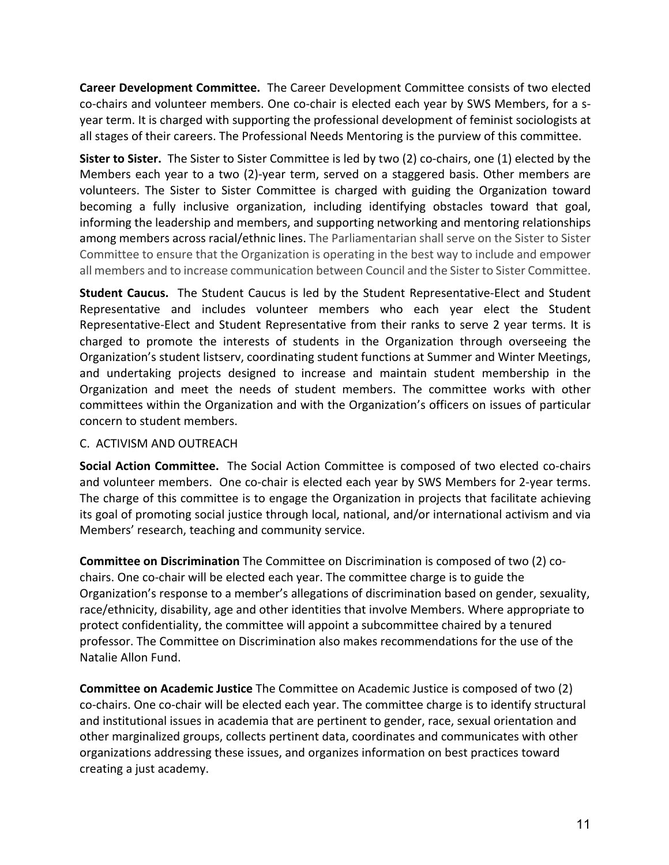**Career Development Committee.** The Career Development Committee consists of two elected co-chairs and volunteer members. One co-chair is elected each year by SWS Members, for a syear term. It is charged with supporting the professional development of feminist sociologists at all stages of their careers. The Professional Needs Mentoring is the purview of this committee.

**Sister to Sister.** The Sister to Sister Committee is led by two (2) co-chairs, one (1) elected by the Members each year to a two (2)-year term, served on a staggered basis. Other members are volunteers. The Sister to Sister Committee is charged with guiding the Organization toward becoming a fully inclusive organization, including identifying obstacles toward that goal, informing the leadership and members, and supporting networking and mentoring relationships among members across racial/ethnic lines. The Parliamentarian shall serve on the Sister to Sister Committee to ensure that the Organization is operating in the best way to include and empower all members and to increase communication between Council and the Sister to Sister Committee.

**Student Caucus.** The Student Caucus is led by the Student Representative-Elect and Student Representative and includes volunteer members who each year elect the Student Representative-Elect and Student Representative from their ranks to serve 2 year terms. It is charged to promote the interests of students in the Organization through overseeing the Organization's student listserv, coordinating student functions at Summer and Winter Meetings, and undertaking projects designed to increase and maintain student membership in the Organization and meet the needs of student members. The committee works with other committees within the Organization and with the Organization's officers on issues of particular concern to student members.

### C. ACTIVISM AND OUTREACH

**Social Action Committee.** The Social Action Committee is composed of two elected co-chairs and volunteer members. One co-chair is elected each year by SWS Members for 2-year terms. The charge of this committee is to engage the Organization in projects that facilitate achieving its goal of promoting social justice through local, national, and/or international activism and via Members' research, teaching and community service.

**Committee on Discrimination** The Committee on Discrimination is composed of two (2) cochairs. One co-chair will be elected each year. The committee charge is to guide the Organization's response to a member's allegations of discrimination based on gender, sexuality, race/ethnicity, disability, age and other identities that involve Members. Where appropriate to protect confidentiality, the committee will appoint a subcommittee chaired by a tenured professor. The Committee on Discrimination also makes recommendations for the use of the Natalie Allon Fund.

**Committee on Academic Justice** The Committee on Academic Justice is composed of two (2) co-chairs. One co-chair will be elected each year. The committee charge is to identify structural and institutional issues in academia that are pertinent to gender, race, sexual orientation and other marginalized groups, collects pertinent data, coordinates and communicates with other organizations addressing these issues, and organizes information on best practices toward creating a just academy.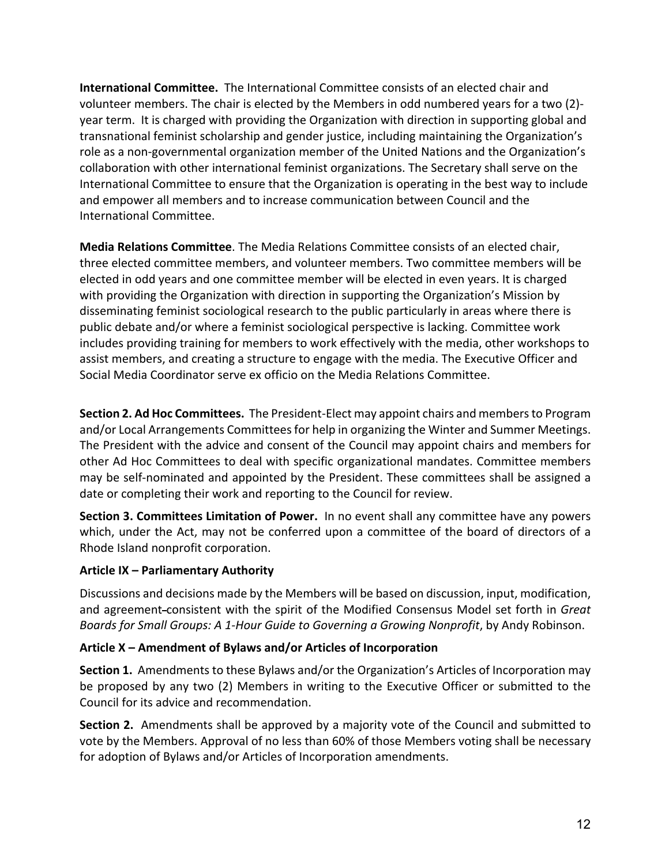**International Committee.** The International Committee consists of an elected chair and volunteer members. The chair is elected by the Members in odd numbered years for a two (2) year term. It is charged with providing the Organization with direction in supporting global and transnational feminist scholarship and gender justice, including maintaining the Organization's role as a non-governmental organization member of the United Nations and the Organization's collaboration with other international feminist organizations. The Secretary shall serve on the International Committee to ensure that the Organization is operating in the best way to include and empower all members and to increase communication between Council and the International Committee.

**Media Relations Committee**. The Media Relations Committee consists of an elected chair, three elected committee members, and volunteer members. Two committee members will be elected in odd years and one committee member will be elected in even years. It is charged with providing the Organization with direction in supporting the Organization's Mission by disseminating feminist sociological research to the public particularly in areas where there is public debate and/or where a feminist sociological perspective is lacking. Committee work includes providing training for members to work effectively with the media, other workshops to assist members, and creating a structure to engage with the media. The Executive Officer and Social Media Coordinator serve ex officio on the Media Relations Committee.

**Section 2. Ad Hoc Committees.** The President-Elect may appoint chairs and members to Program and/or Local Arrangements Committees for help in organizing the Winter and Summer Meetings. The President with the advice and consent of the Council may appoint chairs and members for other Ad Hoc Committees to deal with specific organizational mandates. Committee members may be self-nominated and appointed by the President. These committees shall be assigned a date or completing their work and reporting to the Council for review.

**Section 3. Committees Limitation of Power.** In no event shall any committee have any powers which, under the Act, may not be conferred upon a committee of the board of directors of a Rhode Island nonprofit corporation.

## **Article IX – Parliamentary Authority**

Discussions and decisions made by the Members will be based on discussion, input, modification, and agreement consistent with the spirit of the Modified Consensus Model set forth in *Great Boards for Small Groups: A 1-Hour Guide to Governing a Growing Nonprofit*, by Andy Robinson.

## **Article X – Amendment of Bylaws and/or Articles of Incorporation**

**Section 1.** Amendments to these Bylaws and/or the Organization's Articles of Incorporation may be proposed by any two (2) Members in writing to the Executive Officer or submitted to the Council for its advice and recommendation.

**Section 2.** Amendments shall be approved by a majority vote of the Council and submitted to vote by the Members. Approval of no less than 60% of those Members voting shall be necessary for adoption of Bylaws and/or Articles of Incorporation amendments.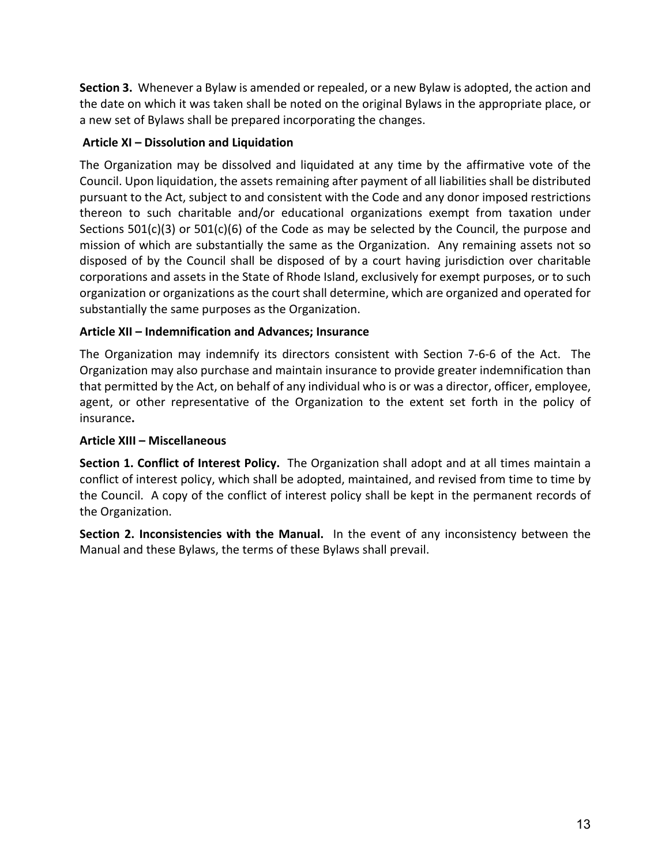**Section 3.** Whenever a Bylaw is amended or repealed, or a new Bylaw is adopted, the action and the date on which it was taken shall be noted on the original Bylaws in the appropriate place, or a new set of Bylaws shall be prepared incorporating the changes.

## **Article XI – Dissolution and Liquidation**

The Organization may be dissolved and liquidated at any time by the affirmative vote of the Council. Upon liquidation, the assets remaining after payment of all liabilities shall be distributed pursuant to the Act, subject to and consistent with the Code and any donor imposed restrictions thereon to such charitable and/or educational organizations exempt from taxation under Sections  $501(c)(3)$  or  $501(c)(6)$  of the Code as may be selected by the Council, the purpose and mission of which are substantially the same as the Organization. Any remaining assets not so disposed of by the Council shall be disposed of by a court having jurisdiction over charitable corporations and assets in the State of Rhode Island, exclusively for exempt purposes, or to such organization or organizations as the court shall determine, which are organized and operated for substantially the same purposes as the Organization.

## **Article XII – Indemnification and Advances; Insurance**

The Organization may indemnify its directors consistent with Section 7-6-6 of the Act. The Organization may also purchase and maintain insurance to provide greater indemnification than that permitted by the Act, on behalf of any individual who is or was a director, officer, employee, agent, or other representative of the Organization to the extent set forth in the policy of insurance**.**

## **Article XIII – Miscellaneous**

**Section 1. Conflict of Interest Policy.** The Organization shall adopt and at all times maintain a conflict of interest policy, which shall be adopted, maintained, and revised from time to time by the Council. A copy of the conflict of interest policy shall be kept in the permanent records of the Organization.

**Section 2. Inconsistencies with the Manual.** In the event of any inconsistency between the Manual and these Bylaws, the terms of these Bylaws shall prevail.